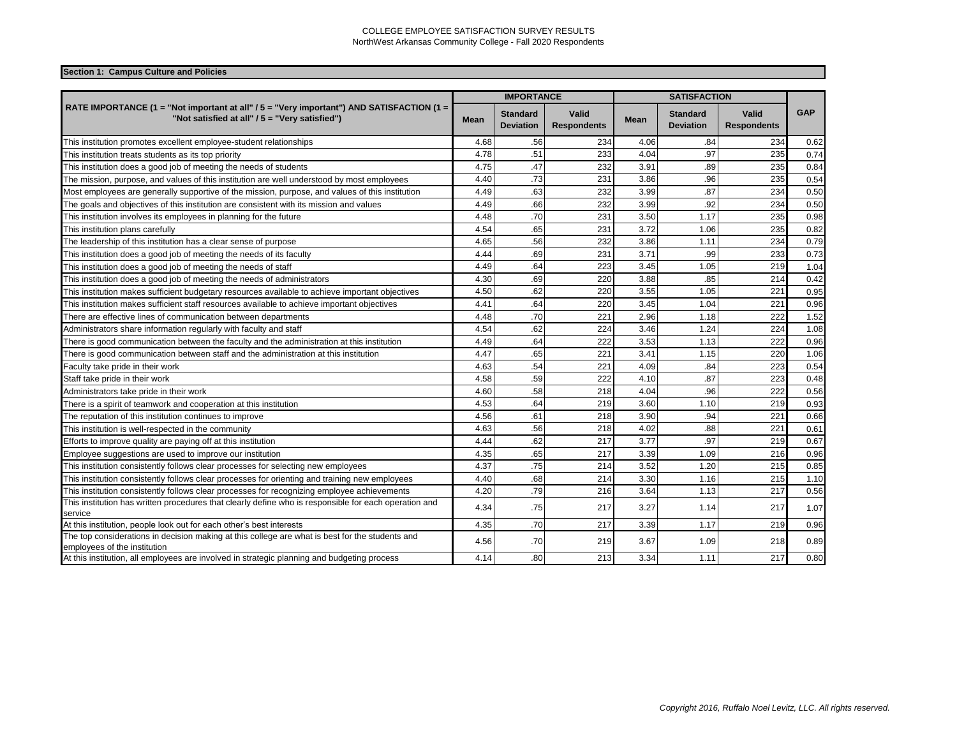| Section 1: Campus Culture and Policies |
|----------------------------------------|
|                                        |

|                                                                                                                                             |      | <b>IMPORTANCE</b>                   |                                    |      | <b>SATISFACTION</b>                 |                                    |            |  |
|---------------------------------------------------------------------------------------------------------------------------------------------|------|-------------------------------------|------------------------------------|------|-------------------------------------|------------------------------------|------------|--|
| RATE IMPORTANCE (1 = "Not important at all" / 5 = "Very important") AND SATISFACTION (1 =<br>"Not satisfied at all" / 5 = "Very satisfied") | Mean | <b>Standard</b><br><b>Deviation</b> | <b>Valid</b><br><b>Respondents</b> | Mean | <b>Standard</b><br><b>Deviation</b> | <b>Valid</b><br><b>Respondents</b> | <b>GAP</b> |  |
| This institution promotes excellent employee-student relationships                                                                          | 4.68 | .56                                 | 234                                | 4.06 | .84                                 | 234                                | 0.62       |  |
| This institution treats students as its top priority                                                                                        | 4.78 | .51                                 | 233                                | 4.04 | .97                                 | 235                                | 0.74       |  |
| This institution does a good job of meeting the needs of students                                                                           | 4.75 | .47                                 | 232                                | 3.91 | .89                                 | 235                                | 0.84       |  |
| The mission, purpose, and values of this institution are well understood by most employees                                                  | 4.40 | .73                                 | 231                                | 3.86 | .96                                 | 235                                | 0.54       |  |
| Most employees are generally supportive of the mission, purpose, and values of this institution                                             | 4.49 | .63                                 | 232                                | 3.99 | .87                                 | 234                                | 0.50       |  |
| The goals and objectives of this institution are consistent with its mission and values                                                     | 4.49 | .66                                 | 232                                | 3.99 | .92                                 | 234                                | 0.50       |  |
| This institution involves its employees in planning for the future                                                                          | 4.48 | .70                                 | 231                                | 3.50 | 1.17                                | 235                                | 0.98       |  |
| This institution plans carefully                                                                                                            | 4.54 | .65                                 | 231                                | 3.72 | 1.06                                | 235                                | 0.82       |  |
| The leadership of this institution has a clear sense of purpose                                                                             | 4.65 | .56                                 | 232                                | 3.86 | 1.11                                | 234                                | 0.79       |  |
| This institution does a good job of meeting the needs of its faculty                                                                        | 4.44 | .69                                 | 231                                | 3.71 | .99                                 | 233                                | 0.73       |  |
| This institution does a good job of meeting the needs of staff                                                                              | 4.49 | .64                                 | 223                                | 3.45 | 1.05                                | 219                                | 1.04       |  |
| This institution does a good job of meeting the needs of administrators                                                                     | 4.30 | .69                                 | 220                                | 3.88 | .85                                 | 214                                | 0.42       |  |
| This institution makes sufficient budgetary resources available to achieve important objectives                                             | 4.50 | .62                                 | 220                                | 3.55 | 1.05                                | 221                                | 0.95       |  |
| This institution makes sufficient staff resources available to achieve important objectives                                                 | 4.41 | .64                                 | 220                                | 3.45 | 1.04                                | 221                                | 0.96       |  |
| There are effective lines of communication between departments                                                                              | 4.48 | .70                                 | 221                                | 2.96 | 1.18                                | 222                                | 1.52       |  |
| Administrators share information regularly with faculty and staff                                                                           | 4.54 | .62                                 | 224                                | 3.46 | 1.24                                | 224                                | 1.08       |  |
| There is good communication between the faculty and the administration at this institution                                                  | 4.49 | .64                                 | 222                                | 3.53 | 1.13                                | 222                                | 0.96       |  |
| There is good communication between staff and the administration at this institution                                                        | 4.47 | .65                                 | 221                                | 3.41 | 1.15                                | 220                                | 1.06       |  |
| Faculty take pride in their work                                                                                                            | 4.63 | .54                                 | 221                                | 4.09 | .84                                 | 223                                | 0.54       |  |
| Staff take pride in their work                                                                                                              | 4.58 | .59                                 | 222                                | 4.10 | .87                                 | 223                                | 0.48       |  |
| Administrators take pride in their work                                                                                                     | 4.60 | .58                                 | 218                                | 4.04 | .96                                 | 222                                | 0.56       |  |
| There is a spirit of teamwork and cooperation at this institution                                                                           | 4.53 | .64                                 | 219                                | 3.60 | 1.10                                | 219                                | 0.93       |  |
| The reputation of this institution continues to improve                                                                                     | 4.56 | .61                                 | 218                                | 3.90 | .94                                 | 221                                | 0.66       |  |
| This institution is well-respected in the community                                                                                         | 4.63 | .56                                 | 218                                | 4.02 | .88                                 | 221                                | 0.61       |  |
| Efforts to improve quality are paying off at this institution                                                                               | 4.44 | .62                                 | 217                                | 3.77 | .97                                 | 219                                | 0.67       |  |
| Employee suggestions are used to improve our institution                                                                                    | 4.35 | .65                                 | 217                                | 3.39 | 1.09                                | 216                                | 0.96       |  |
| This institution consistently follows clear processes for selecting new employees                                                           | 4.37 | .75                                 | 214                                | 3.52 | 1.20                                | 215                                | 0.85       |  |
| This institution consistently follows clear processes for orienting and training new employees                                              | 4.40 | .68                                 | 214                                | 3.30 | 1.16                                | 215                                | 1.10       |  |
| This institution consistently follows clear processes for recognizing employee achievements                                                 | 4.20 | .79                                 | 216                                | 3.64 | 1.13                                | 217                                | 0.56       |  |
| This institution has written procedures that clearly define who is responsible for each operation and<br>service                            | 4.34 | .75                                 | 217                                | 3.27 | 1.14                                | 217                                | 1.07       |  |
| At this institution, people look out for each other's best interests                                                                        | 4.35 | .70                                 | 217                                | 3.39 | 1.17                                | 219                                | 0.96       |  |
| The top considerations in decision making at this college are what is best for the students and<br>employees of the institution             | 4.56 | .70                                 | 219                                | 3.67 | 1.09                                | 218                                | 0.89       |  |
| At this institution, all employees are involved in strategic planning and budgeting process                                                 | 4.14 | .80                                 | 213                                | 3.34 | 1.11                                | 217                                | 0.80       |  |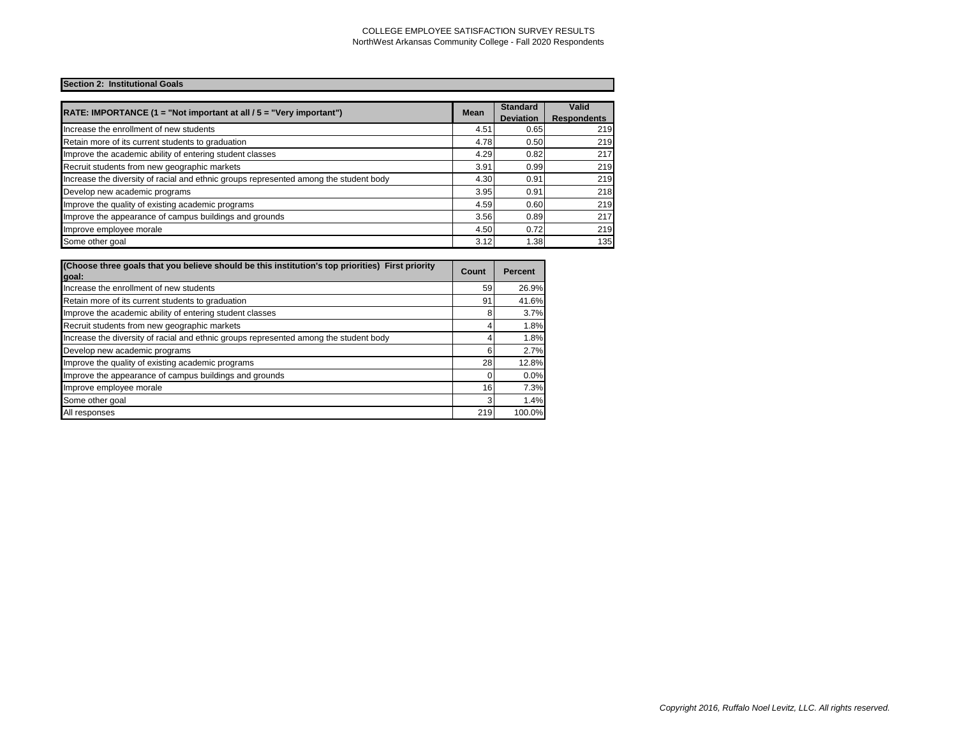# **Section 2: Institutional Goals**

| RATE: IMPORTANCE $(1 = "Not important at all / 5 = "Very important")$                 | <b>Mean</b> | <b>Standard</b><br><b>Deviation</b> | Valid<br><b>Respondents</b> |
|---------------------------------------------------------------------------------------|-------------|-------------------------------------|-----------------------------|
| Increase the enrollment of new students                                               | 4.51        | 0.65                                | 219                         |
| Retain more of its current students to graduation                                     | 4.78        | 0.50                                | 219                         |
| Improve the academic ability of entering student classes                              | 4.29        | 0.82                                | 217                         |
| Recruit students from new geographic markets                                          | 3.91        | 0.99                                | 219                         |
| Increase the diversity of racial and ethnic groups represented among the student body | 4.30        | 0.91                                | 219                         |
| Develop new academic programs                                                         | 3.95        | 0.91                                | 218                         |
| Improve the quality of existing academic programs                                     | 4.59        | 0.60                                | 219                         |
| Improve the appearance of campus buildings and grounds                                | 3.56        | 0.89                                | 217                         |
| Improve employee morale                                                               | 4.50        | 0.72                                | 219                         |
| Some other goal                                                                       | 3.12        | 1.38                                | 135                         |

| (Choose three goals that you believe should be this institution's top priorities) First priority<br>goal: | Count | <b>Percent</b> |
|-----------------------------------------------------------------------------------------------------------|-------|----------------|
| Increase the enrollment of new students                                                                   | 59    | 26.9%          |
| Retain more of its current students to graduation                                                         | 91    | 41.6%          |
| Improve the academic ability of entering student classes                                                  | 8     | 3.7%           |
| Recruit students from new geographic markets                                                              |       | 1.8%           |
| Increase the diversity of racial and ethnic groups represented among the student body                     |       | 1.8%           |
| Develop new academic programs                                                                             | 6     | 2.7%           |
| Improve the quality of existing academic programs                                                         | 28    | 12.8%          |
| Improve the appearance of campus buildings and grounds                                                    |       | 0.0%           |
| Improve employee morale                                                                                   | 16    | 7.3%           |
| Some other goal                                                                                           | 3     | 1.4%           |
| All responses                                                                                             | 219   | 100.0%         |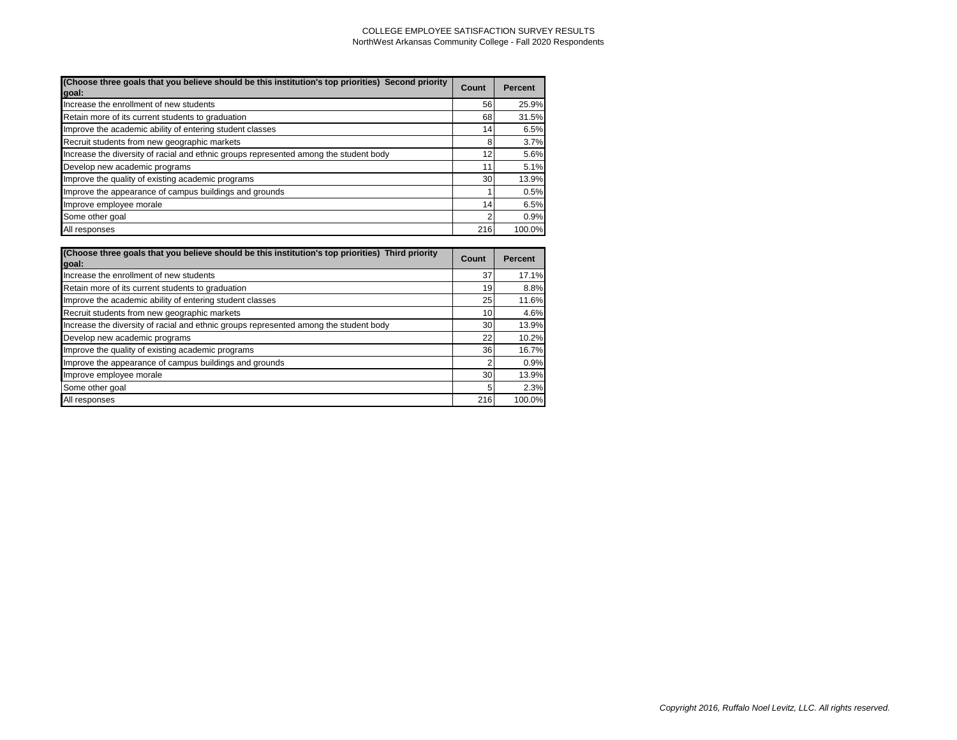| (Choose three goals that you believe should be this institution's top priorities) Second priority<br>goal: | Count | <b>Percent</b> |
|------------------------------------------------------------------------------------------------------------|-------|----------------|
| Increase the enrollment of new students                                                                    | 56    | 25.9%          |
| Retain more of its current students to graduation                                                          | 68    | 31.5%          |
| Improve the academic ability of entering student classes                                                   | 14    | 6.5%           |
| Recruit students from new geographic markets                                                               | 8     | 3.7%           |
| Increase the diversity of racial and ethnic groups represented among the student body                      | 12    | 5.6%           |
| Develop new academic programs                                                                              | 11    | 5.1%           |
| Improve the quality of existing academic programs                                                          | 30    | 13.9%          |
| Improve the appearance of campus buildings and grounds                                                     |       | 0.5%           |
| Improve employee morale                                                                                    | 14    | 6.5%           |
| Some other goal                                                                                            |       | 0.9%           |
| All responses                                                                                              | 216   | 100.0%         |

| (Choose three goals that you believe should be this institution's top priorities) Third priority<br>goal: | Count | Percent |
|-----------------------------------------------------------------------------------------------------------|-------|---------|
| Increase the enrollment of new students                                                                   | 37    | 17.1%   |
| Retain more of its current students to graduation                                                         | 19    | 8.8%    |
| Improve the academic ability of entering student classes                                                  | 25    | 11.6%   |
| Recruit students from new geographic markets                                                              | 10    | 4.6%    |
| Increase the diversity of racial and ethnic groups represented among the student body                     | 30    | 13.9%   |
| Develop new academic programs                                                                             | 22    | 10.2%   |
| Improve the quality of existing academic programs                                                         | 36    | 16.7%   |
| Improve the appearance of campus buildings and grounds                                                    | 2     | 0.9%    |
| Improve employee morale                                                                                   | 30    | 13.9%   |
| Some other goal                                                                                           | 5     | 2.3%    |
| All responses                                                                                             | 216   | 100.0%  |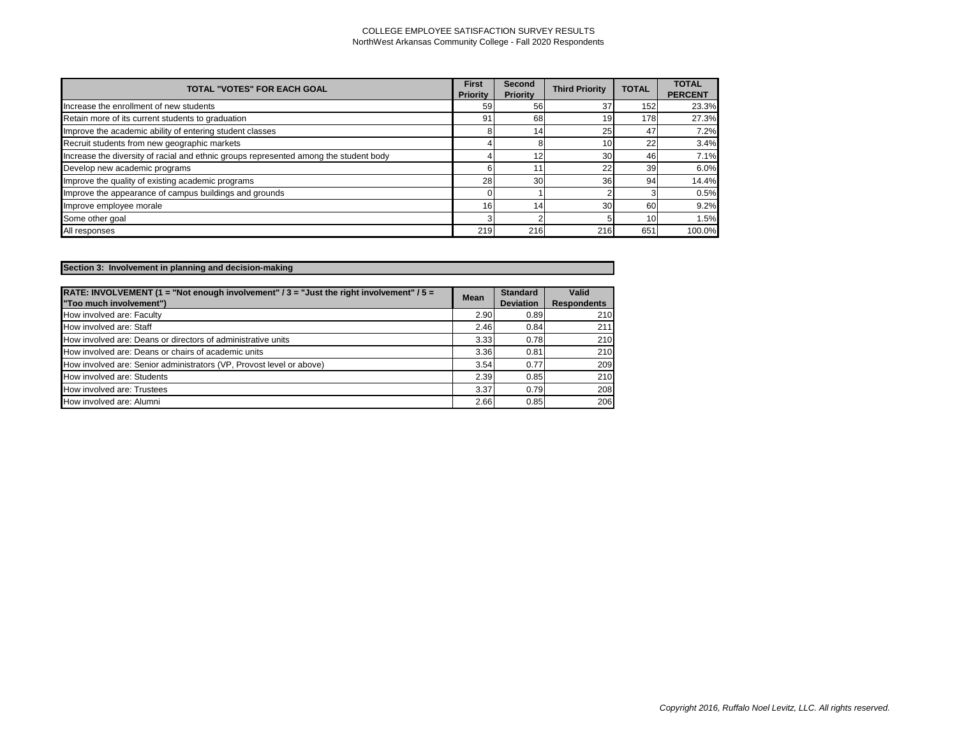| <b>TOTAL "VOTES" FOR EACH GOAL</b>                                                    | <b>First</b><br><b>Priority</b> | <b>Second</b><br><b>Priority</b> | <b>Third Priority</b> | <b>TOTAL</b>    | <b>TOTAL</b><br><b>PERCENT</b> |
|---------------------------------------------------------------------------------------|---------------------------------|----------------------------------|-----------------------|-----------------|--------------------------------|
| Increase the enrollment of new students                                               | 59                              | 56                               | 37                    | 152             | 23.3%                          |
| Retain more of its current students to graduation                                     | 91                              | 68                               | 19                    | 178             | 27.3%                          |
| Improve the academic ability of entering student classes                              |                                 | 14                               | 25                    | 47              | 7.2%                           |
| Recruit students from new geographic markets                                          |                                 |                                  | 10 <sub>1</sub>       | 22              | 3.4%                           |
| Increase the diversity of racial and ethnic groups represented among the student body |                                 | 12                               | 30                    | 46              | 7.1%                           |
| Develop new academic programs                                                         |                                 | 11                               | 22                    | 39              | 6.0%                           |
| Improve the quality of existing academic programs                                     | 28                              | 30                               | 36                    | 94              | 14.4%                          |
| Improve the appearance of campus buildings and grounds                                |                                 |                                  |                       |                 | 0.5%                           |
| Improve employee morale                                                               | 16                              | 14                               | 30                    | 60              | 9.2%                           |
| Some other goal                                                                       |                                 | ົ                                |                       | 10 <sup>1</sup> | 1.5%                           |
| All responses                                                                         | 219                             | 216                              | 216                   | 651             | 100.0%                         |

| Section 3: Involvement in planning and decision-making |  |
|--------------------------------------------------------|--|
|                                                        |  |

| RATE: INVOLVEMENT (1 = "Not enough involvement" $/3$ = "Just the right involvement" $/5$ =<br>"Too much involvement") | <b>Mean</b> | <b>Standard</b><br><b>Deviation</b> | Valid<br><b>Respondents</b> |
|-----------------------------------------------------------------------------------------------------------------------|-------------|-------------------------------------|-----------------------------|
| How involved are: Faculty                                                                                             | 2.90        | 0.89                                | 210                         |
| How involved are: Staff                                                                                               | 2.46        | 0.84                                | 211                         |
| How involved are: Deans or directors of administrative units                                                          | 3.33        | 0.78                                | 210                         |
| How involved are: Deans or chairs of academic units                                                                   | 3.36        | 0.81                                | 210                         |
| How involved are: Senior administrators (VP, Provost level or above)                                                  | 3.54        | 0.77                                | 209                         |
| How involved are: Students                                                                                            | 2.39        | 0.85                                | 210                         |
| How involved are: Trustees                                                                                            | 3.37        | 0.79                                | 208                         |
| How involved are: Alumni                                                                                              | 2.66        | 0.85                                | 206                         |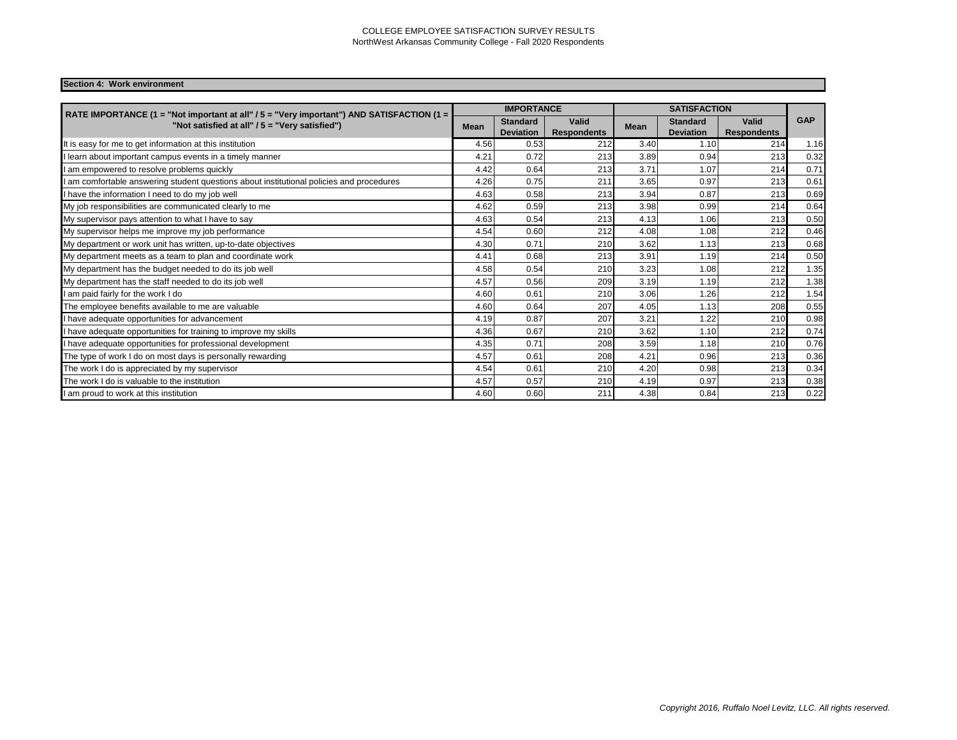## **Section 4: Work environment**

| RATE IMPORTANCE (1 = "Not important at all" / 5 = "Very important") AND SATISFACTION (1 =<br>"Not satisfied at all" / 5 = "Very satisfied") |      | <b>IMPORTANCE</b>                   |                                    | <b>SATISFACTION</b> |                                     |                             |            |
|---------------------------------------------------------------------------------------------------------------------------------------------|------|-------------------------------------|------------------------------------|---------------------|-------------------------------------|-----------------------------|------------|
|                                                                                                                                             |      | <b>Standard</b><br><b>Deviation</b> | <b>Valid</b><br><b>Respondents</b> | <b>Mean</b>         | <b>Standard</b><br><b>Deviation</b> | Valid<br><b>Respondents</b> | <b>GAP</b> |
| It is easy for me to get information at this institution                                                                                    | 4.56 | 0.53                                | 212                                | 3.40                | 1.10                                | 214                         | 1.16       |
| learn about important campus events in a timely manner                                                                                      | 4.21 | 0.72                                | 213                                | 3.89                | 0.94                                | 213                         | 0.32       |
| I am empowered to resolve problems quickly                                                                                                  | 4.42 | 0.64                                | 213                                | 3.71                | 1.07                                | 214                         | 0.71       |
| am comfortable answering student questions about institutional policies and procedures                                                      | 4.26 | 0.75                                | 211                                | 3.65                | 0.97                                | 213                         | 0.61       |
| I have the information I need to do my job well                                                                                             | 4.63 | 0.58                                | 213                                | 3.94                | 0.87                                | 213                         | 0.69       |
| My job responsibilities are communicated clearly to me                                                                                      | 4.62 | 0.59                                | 213                                | 3.98                | 0.99                                | 214                         | 0.64       |
| My supervisor pays attention to what I have to say                                                                                          | 4.63 | 0.54                                | 213                                | 4.13                | 1.06                                | 213                         | 0.50       |
| My supervisor helps me improve my job performance                                                                                           | 4.54 | 0.60                                | 212                                | 4.08                | 1.08                                | 212                         | 0.46       |
| My department or work unit has written, up-to-date objectives                                                                               | 4.30 | 0.71                                | 210                                | 3.62                | 1.13                                | 213                         | 0.68       |
| My department meets as a team to plan and coordinate work                                                                                   | 4.41 | 0.68                                | 213                                | 3.91                | 1.19                                | 214                         | 0.50       |
| My department has the budget needed to do its job well                                                                                      | 4.58 | 0.54                                | 210                                | 3.23                | 1.08                                | 212                         | 1.35       |
| My department has the staff needed to do its job well                                                                                       | 4.57 | 0.56                                | 209                                | 3.19                | 1.19                                | 212                         | 1.38       |
| I am paid fairly for the work I do                                                                                                          | 4.60 | 0.61                                | 210                                | 3.06                | .26                                 | 212                         | 1.54       |
| The employee benefits available to me are valuable                                                                                          | 4.60 | 0.64                                | 207                                | 4.05                | 1.13                                | 208                         | 0.55       |
| I have adequate opportunities for advancement                                                                                               | 4.19 | 0.87                                | 207                                | 3.21                | 1.22                                | 210                         | 0.98       |
| have adequate opportunities for training to improve my skills                                                                               | 4.36 | 0.67                                | 210                                | 3.62                | 1.10                                | 212                         | 0.74       |
| I have adequate opportunities for professional development                                                                                  | 4.35 | 0.71                                | 208                                | 3.59                | 1.18                                | 210                         | 0.76       |
| The type of work I do on most days is personally rewarding                                                                                  | 4.57 | 0.61                                | 208                                | 4.21                | 0.96                                | 213                         | 0.36       |
| The work I do is appreciated by my supervisor                                                                                               | 4.54 | 0.61                                | 210                                | 4.20                | 0.98                                | 213                         | 0.34       |
| The work I do is valuable to the institution                                                                                                | 4.57 | 0.57                                | 210                                | 4.19                | 0.97                                | 213                         | 0.38       |
| I am proud to work at this institution                                                                                                      | 4.60 | 0.60                                | 211                                | 4.38                | 0.84                                | 213                         | 0.22       |